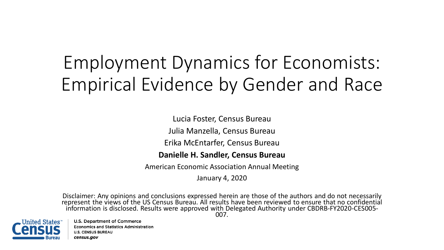# Employment Dynamics for Economists: Empirical Evidence by Gender and Race

Lucia Foster, Census Bureau

Julia Manzella, Census Bureau

Erika McEntarfer, Census Bureau

#### **Danielle H. Sandler, Census Bureau**

American Economic Association Annual Meeting

January 4, 2020

Disclaimer: Any opinions and conclusions expressed herein are those of the authors and do not necessarily represent the views of the US Census Bureau. All results have been reviewed to ensure that no confidential information is disclosed. Results were approved with Delegated Authority under CBDRB-FY2020-CES005- 007.

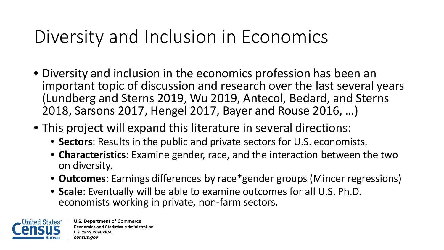### Diversity and Inclusion in Economics

- Diversity and inclusion in the economics profession has been an important topic of discussion and research over the last several years (Lundberg and Sterns 2019, Wu 2019, Antecol, Bedard, and Sterns 2018, Sarsons 2017, Hengel 2017, Bayer and Rouse 2016, …)
- This project will expand this literature in several directions:
	- **Sectors**: Results in the public and private sectors for U.S. economists.
	- **Characteristics**: Examine gender, race, and the interaction between the two on diversity.
	- **Outcomes**: Earnings differences by race\*gender groups (Mincer regressions)
	- **Scale**: Eventually will be able to examine outcomes for all U.S. Ph.D. economists working in private, non-farm sectors.

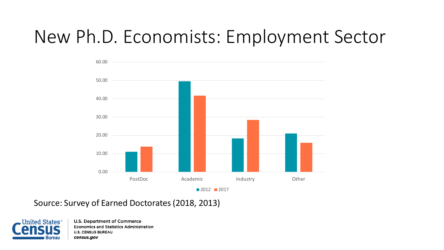# New Ph.D. Economists: Employment Sector



Source: Survey of Earned Doctorates (2018, 2013)

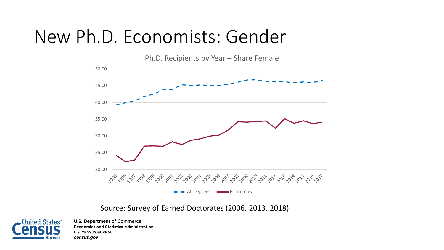#### New Ph.D. Economists: Gender

Ph.D. Recipients by Year – Share Female



#### Source: Survey of Earned Doctorates (2006, 2013, 2018)

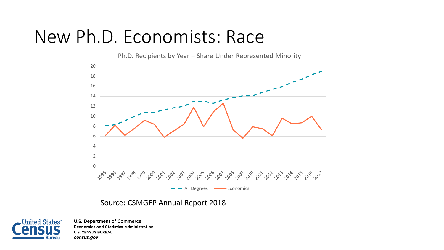#### New Ph.D. Economists: Race



#### Source: CSMGEP Annual Report 2018

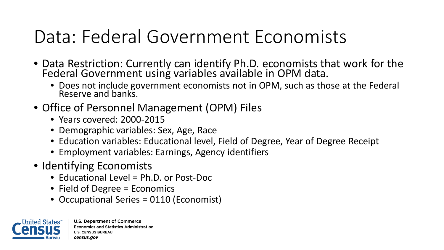# Data: Federal Government Economists

- Data Restriction: Currently can identify Ph.D. economists that work for the Federal Government using variables available in OPM data.
	- Does not include government economists not in OPM, such as those at the Federal Reserve and banks.
- Office of Personnel Management (OPM) Files
	- Years covered: 2000-2015
	- Demographic variables: Sex, Age, Race
	- Education variables: Educational level, Field of Degree, Year of Degree Receipt
	- Employment variables: Earnings, Agency identifiers
- Identifying Economists
	- Educational Level = Ph.D. or Post-Doc
	- Field of Degree = Economics
	- Occupational Series = 0110 (Economist)

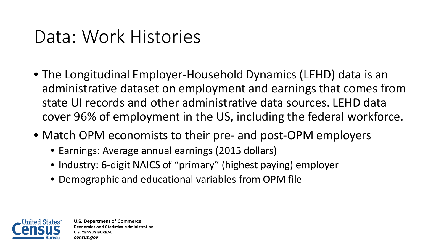### Data: Work Histories

- The Longitudinal Employer-Household Dynamics (LEHD) data is an administrative dataset on employment and earnings that comes from state UI records and other administrative data sources. LEHD data cover 96% of employment in the US, including the federal workforce.
- Match OPM economists to their pre- and post-OPM employers
	- Earnings: Average annual earnings (2015 dollars)
	- Industry: 6-digit NAICS of "primary" (highest paying) employer
	- Demographic and educational variables from OPM file

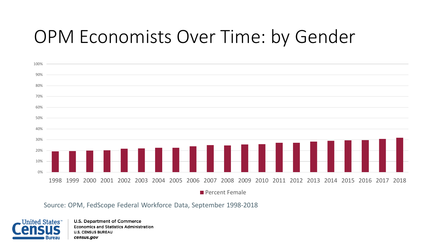# OPM Economists Over Time: by Gender



Source: OPM, FedScope Federal Workforce Data, September 1998-2018

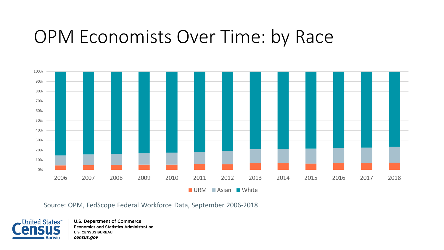#### OPM Economists Over Time: by Race



Source: OPM, FedScope Federal Workforce Data, September 2006-2018

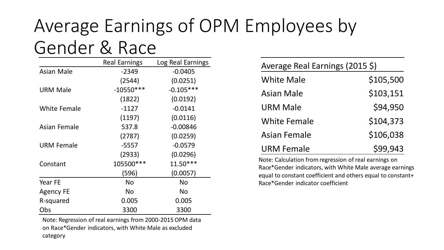### Average Earnings of OPM Employees by Gender & Race

|                     | <b>Real Earnings</b> | Log Real Earnings |
|---------------------|----------------------|-------------------|
| <b>Asian Male</b>   | $-2349$              | $-0.0405$         |
|                     | (2544)               | (0.0251)          |
| <b>URM Male</b>     | $-10550***$          | $-0.105***$       |
|                     | (1822)               | (0.0192)          |
| <b>White Female</b> | $-1127$              | $-0.0141$         |
|                     | (1197)               | (0.0116)          |
| Asian Female        | 537.8                | $-0.00846$        |
|                     | (2787)               | (0.0259)          |
| <b>URM Female</b>   | $-5557$              | $-0.0579$         |
|                     | (2933)               | (0.0296)          |
| Constant            | 105500 ***           | $11.50***$        |
|                     | (596)                | (0.0057)          |
| Year FE             | <b>No</b>            | <b>No</b>         |
| <b>Agency FE</b>    | <b>No</b>            | <b>No</b>         |
| R-squared           | 0.005                | 0.005             |
| Obs                 | 3300                 | 3300              |

Note: Regression of real earnings from 2000-2015 OPM data on Race\*Gender indicators, with White Male as excluded category

| Average Real Earnings (2015 \$) |           |  |  |  |  |
|---------------------------------|-----------|--|--|--|--|
| <b>White Male</b>               | \$105,500 |  |  |  |  |
| <b>Asian Male</b>               | \$103,151 |  |  |  |  |
| <b>URM Male</b>                 | \$94,950  |  |  |  |  |
| <b>White Female</b>             | \$104,373 |  |  |  |  |
| <b>Asian Female</b>             | \$106,038 |  |  |  |  |
| <b>URM Female</b>               | \$99,943  |  |  |  |  |

Note: Calculation from regression of real earnings on Race\*Gender indicators, with White Male average earnings equal to constant coefficient and others equal to constant+ Race\*Gender indicator coefficient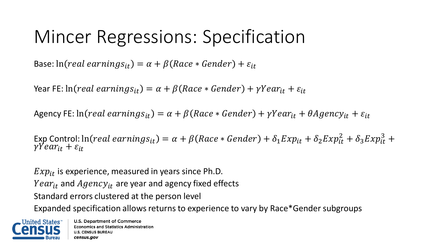## Mincer Regressions: Specification

Base:  $\ln (real\ can\ ings_{it}) = \alpha + \beta (Race * \լ) + \varepsilon_{it}$ 

Year FE:  $ln (real \, earnings_{it}) = \alpha + \beta (Race * Gender) + \gamma Year_{it} + \varepsilon_{it}$ 

Agency FE:  $ln (real\ can\ ings_{it}) = \alpha + \beta (Race * \լ) + \gamma Year_{it} + \theta Agency_{it} + \varepsilon_{it}$ 

Exp Control:  $\ln (real\; earnings_{it}) = \alpha + \beta (Race * gender) + \delta_1 Exp_{it} + \delta_2 Exp_{it}^2 + \delta_3 Exp_{it}^3 +$  $\gamma Year_{it} + \varepsilon_{it}$ 

 $Exp_{it}$  is experience, measured in years since Ph.D. *Year<sub>it</sub>* and  $Agency<sub>it</sub>$  are year and agency fixed effects Standard errors clustered at the person level Expanded specification allows returns to experience to vary by Race\*Gender subgroups

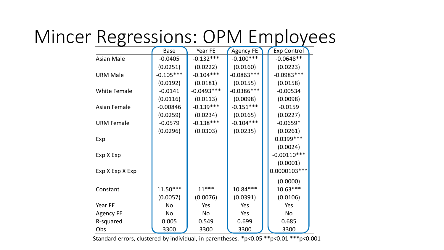# Mincer Regressions: OPM Employees

|                     | <b>Base</b> | Year FE      | <b>Agency FE</b> | <b>Exp Control</b> |
|---------------------|-------------|--------------|------------------|--------------------|
| <b>Asian Male</b>   | $-0.0405$   | $-0.132***$  | $-0.100***$      | $-0.0648**$        |
|                     | (0.0251)    | (0.0222)     | (0.0160)         | (0.0223)           |
| <b>URM Male</b>     | $-0.105***$ | $-0.104***$  | $-0.0863***$     | $-0.0983***$       |
|                     | (0.0192)    | (0.0181)     | (0.0155)         | (0.0158)           |
| <b>White Female</b> | $-0.0141$   | $-0.0493***$ | $-0.0386***$     | $-0.00534$         |
|                     | (0.0116)    | (0.0113)     | (0.0098)         | (0.0098)           |
| <b>Asian Female</b> | $-0.00846$  | $-0.139***$  | $-0.151***$      | $-0.0159$          |
|                     | (0.0259)    | (0.0234)     | (0.0165)         | (0.0227)           |
| <b>URM Female</b>   | $-0.0579$   | $-0.138***$  | $-0.104***$      | $-0.0659*$         |
|                     | (0.0296)    | (0.0303)     | (0.0235)         | (0.0261)           |
| Exp                 |             |              |                  | 0.0399 ***         |
|                     |             |              |                  | (0.0024)           |
| Exp X Exp           |             |              |                  | $-0.00110***$      |
|                     |             |              |                  | (0.0001)           |
| Exp X Exp X Exp     |             |              |                  | $0.0000103***$     |
|                     |             |              |                  | (0.0000)           |
| Constant            | $11.50***$  | $11***$      | $10.84***$       | $10.63***$         |
|                     | (0.0057)    | (0.0076)     | (0.0391)         | (0.0106)           |
| Year FE             | <b>No</b>   | Yes          | Yes              | Yes                |
| <b>Agency FE</b>    | No          | No           | Yes              | <b>No</b>          |
| R-squared           | 0.005       | 0.549        | 0.699            | 0.685              |
| Obs                 | 3300        | 3300         | 3300             | 3300               |

Standard errors, clustered by individual, in parentheses. \*p<0.05 \*\*p<0.01 \*\*\*p<0.001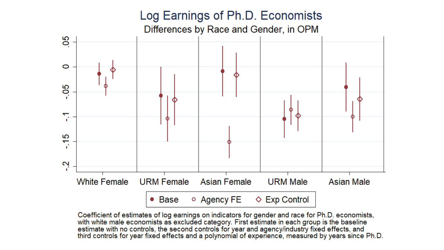#### Log Earnings of Ph.D. Economists

Differences by Race and Gender, in OPM

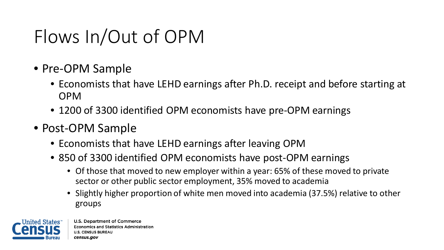# Flows In/Out of OPM

- Pre-OPM Sample
	- Economists that have LEHD earnings after Ph.D. receipt and before starting at OPM
	- 1200 of 3300 identified OPM economists have pre-OPM earnings
- Post-OPM Sample
	- Economists that have LEHD earnings after leaving OPM
	- 850 of 3300 identified OPM economists have post-OPM earnings
		- Of those that moved to new employer within a year: 65% of these moved to private sector or other public sector employment, 35% moved to academia
		- Slightly higher proportion of white men moved into academia (37.5%) relative to other groups

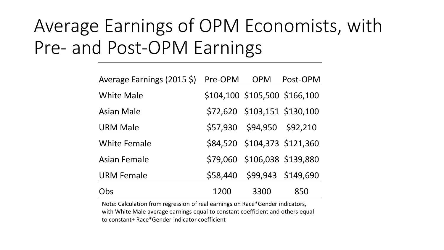# Average Earnings of OPM Economists, with Pre- and Post-OPM Earnings

| Average Earnings (2015 \$) | Pre-OPM | <b>OPM</b>                 | Post-OPM                      |
|----------------------------|---------|----------------------------|-------------------------------|
| <b>White Male</b>          |         |                            | \$104,100 \$105,500 \$166,100 |
| <b>Asian Male</b>          |         |                            | \$72,620 \$103,151 \$130,100  |
| <b>URM Male</b>            |         | \$57,930 \$94,950 \$92,210 |                               |
| <b>White Female</b>        |         |                            | \$84,520 \$104,373 \$121,360  |
| <b>Asian Female</b>        |         |                            | \$79,060 \$106,038 \$139,880  |
| <b>URM Female</b>          |         |                            | \$58,440 \$99,943 \$149,690   |
| Obs                        | 1200    | 3300                       | 850                           |

Note: Calculation from regression of real earnings on Race\*Gender indicators, with White Male average earnings equal to constant coefficient and others equal to constant+ Race\*Gender indicator coefficient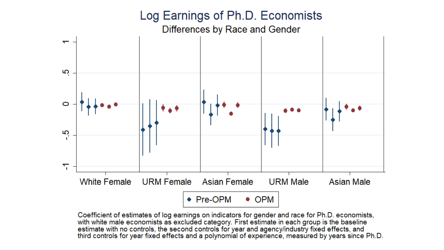#### Log Earnings of Ph.D. Economists Differences by Race and Gender ᡪ ယ္  $\circ$ rö.  $\overline{\mathbf{r}}$ **White Female URM Female Asian Female URM Male Asian Male** ◆ Pre-OPM  $\bullet$  OPM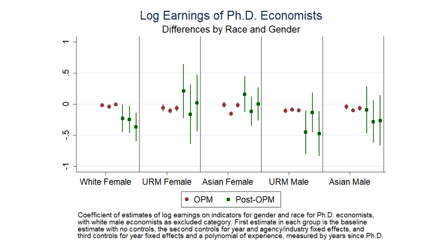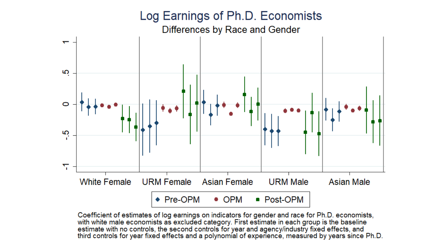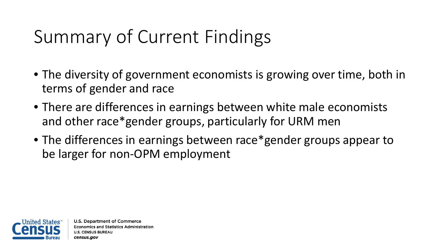# Summary of Current Findings

- The diversity of government economists is growing over time, both in terms of gender and race
- There are differences in earnings between white male economists and other race\*gender groups, particularly for URM men
- The differences in earnings between race\*gender groups appear to be larger for non-OPM employment

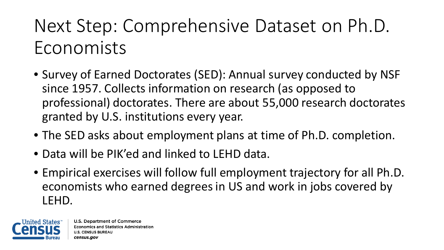# Next Step: Comprehensive Dataset on Ph.D. Economists

- Survey of Earned Doctorates (SED): Annual survey conducted by NSF since 1957. Collects information on research (as opposed to professional) doctorates. There are about 55,000 research doctorates granted by U.S. institutions every year.
- The SED asks about employment plans at time of Ph.D. completion.
- Data will be PIK'ed and linked to LEHD data.
- Empirical exercises will follow full employment trajectory for all Ph.D. economists who earned degrees in US and work in jobs covered by LEHD.

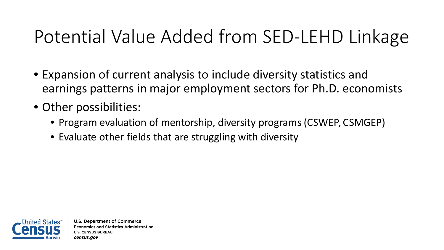# Potential Value Added from SED-LEHD Linkage

- Expansion of current analysis to include diversity statistics and earnings patterns in major employment sectors for Ph.D. economists
- Other possibilities:
	- Program evaluation of mentorship, diversity programs (CSWEP, CSMGEP)
	- Evaluate other fields that are struggling with diversity